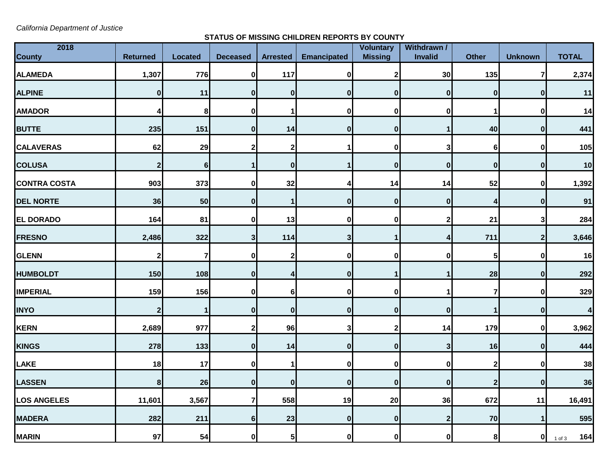*California Department of Justice*

## **STATUS OF MISSING CHILDREN REPORTS BY COUNTY**

| 2018                |                 |                |                 |                 | Voluntary<br>Withdrawn / |                |                         |                  |                |                         |
|---------------------|-----------------|----------------|-----------------|-----------------|--------------------------|----------------|-------------------------|------------------|----------------|-------------------------|
| <b>County</b>       | <b>Returned</b> | <b>Located</b> | <b>Deceased</b> | <b>Arrested</b> | <b>Emancipated</b>       | <b>Missing</b> | Invalid                 | <b>Other</b>     | <b>Unknown</b> | <b>TOTAL</b>            |
| <b>ALAMEDA</b>      | 1,307           | 776            | $\mathbf 0$     | 117             | $\mathbf 0$              | 2              | 30                      | 135              | 7              | 2,374                   |
| <b>ALPINE</b>       | $\mathbf 0$     | 11             | $\bf{0}$        | $\mathbf 0$     | 0                        | $\mathbf{0}$   | $\mathbf 0$             | $\bf{0}$         | $\mathbf{0}$   | 11                      |
| <b>AMADOR</b>       | 4               | 8              | $\bf{0}$        |                 | 0                        | 0              | $\bf{0}$                | 1                | 0              | 14                      |
| <b>BUTTE</b>        | 235             | 151            | $\bf{0}$        | 14              | $\mathbf{0}$             | $\bf{0}$       | 1                       | 40               | 0              | 441                     |
| <b>CALAVERAS</b>    | 62              | 29             | $\mathbf{2}$    | $\mathbf{2}$    |                          | $\mathbf 0$    | 3                       | $\bf 6$          | 0              | 105                     |
| <b>COLUSA</b>       | $\mathbf 2$     | 6              |                 | $\mathbf{0}$    |                          | $\bf{0}$       | $\mathbf 0$             | $\bf{0}$         | $\mathbf{0}$   | 10                      |
| <b>CONTRA COSTA</b> | 903             | 373            | 0               | 32              | 4                        | 14             | 14                      | 52               | 0              | 1,392                   |
| <b>DEL NORTE</b>    | 36              | 50             | $\bf{0}$        |                 | 0                        | $\bf{0}$       | $\mathbf 0$             | 4                | $\bf{0}$       | 91                      |
| <b>EL DORADO</b>    | 164             | 81             | 0               | 13              | $\bf{0}$                 | 0              | $\overline{\mathbf{c}}$ | 21               | 3              | 284                     |
| <b>FRESNO</b>       | 2,486           | 322            | 3               | 114             | 3 <sup>1</sup>           | 1              | 4                       | 711              | $\mathbf{2}$   | 3,646                   |
| <b>GLENN</b>        | $\mathbf{2}$    | $\overline{7}$ | 0               | 2               | 0                        | U              | $\bf{0}$                | 5                | 0              | 16                      |
| <b>HUMBOLDT</b>     | 150             | 108            | $\bf{0}$        | 4               | 0                        |                | 1                       | 28               | $\mathbf{0}$   | 292                     |
| <b>IMPERIAL</b>     | 159             | 156            | $\bf{0}$        | 6               | $\bf{0}$                 | $\bf{0}$       | 1                       | $\overline{7}$   | 0              | 329                     |
| <b>INYO</b>         | $\mathbf{2}$    | 1              | 0               | $\mathbf{0}$    | $\mathbf{0}$             | $\bf{0}$       | 0                       |                  | 0              | $\overline{\mathbf{4}}$ |
| KERN                | 2,689           | 977            | $\mathbf{2}$    | 96              | 3                        | 2              | 14                      | 179              | $\mathbf{0}$   | 3,962                   |
| <b>KINGS</b>        | 278             | 133            | $\bf{0}$        | 14              | $\mathbf 0$              | $\mathbf{0}$   | $\mathbf{3}$            | 16               | $\mathbf{0}$   | 444                     |
| LAKE                | 18              | 17             | 0               |                 | 0                        | $\bf{0}$       | $\mathbf 0$             | $\mathbf 2$      | 0              | 38                      |
| <b>LASSEN</b>       | $\bf 8$         | 26             | $\bf{0}$        | $\mathbf 0$     | $\boldsymbol{0}$         | $\mathbf{0}$   | $\mathbf 0$             | $\boldsymbol{2}$ | $\bf{0}$       | 36                      |
| <b>LOS ANGELES</b>  | 11,601          | 3,567          | 7               | 558             | 19                       | 20             | 36                      | 672              | 11             | 16,491                  |
| <b>MADERA</b>       | 282             | 211            | $6 \mid$        | 23              | $\bf{0}$                 | 0              | $\mathbf{2}$            | 70               |                | 595                     |
| <b>MARIN</b>        | 97              | 54             | $\mathbf{0}$    | 5 <sub>l</sub>  | $\mathbf{0}$             | $\mathbf{0}$   | $\mathbf{0}$            | 8 <sup>1</sup>   | 0              | 164<br>$1$ of $3$       |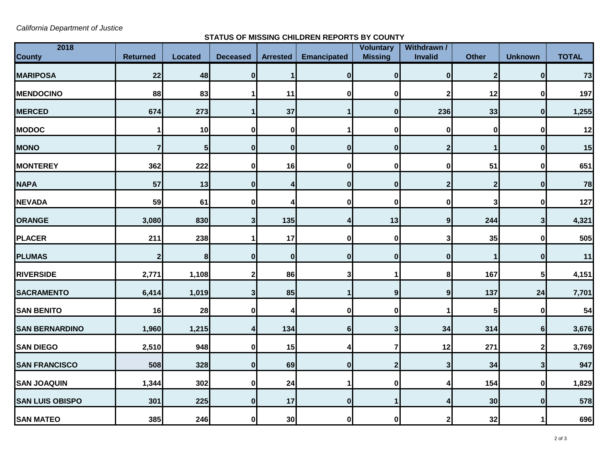*California Department of Justice*

## **STATUS OF MISSING CHILDREN REPORTS BY COUNTY**

| 2018<br><b>County</b>  | <b>Returned</b> | <b>Located</b>          | <b>Deceased</b> | <b>Arrested</b> | <b>Emancipated</b> | <b>Voluntary</b><br><b>Missing</b> | Withdrawn /<br>Invalid | <b>Other</b>     | <b>Unknown</b> | <b>TOTAL</b> |
|------------------------|-----------------|-------------------------|-----------------|-----------------|--------------------|------------------------------------|------------------------|------------------|----------------|--------------|
|                        |                 |                         |                 |                 |                    |                                    |                        |                  |                |              |
| <b>MARIPOSA</b>        | 22              | 48                      | $\pmb{0}$       |                 | 0                  | $\mathbf{0}$                       | $\mathbf 0$            | $\boldsymbol{2}$ | 0              | 73           |
| <b>MENDOCINO</b>       | 88              | 83                      |                 | 11              | 0                  | 0                                  | 2                      | 12               | $\mathbf 0$    | 197          |
| <b>MERCED</b>          | 674             | 273                     |                 | 37              |                    | $\mathbf 0$                        | 236                    | 33               | $\bf{0}$       | 1,255        |
| <b>MODOC</b>           | 1               | 10                      | 0               | 0               |                    | O                                  | 0                      | $\bf{0}$         | 0              | 12           |
| <b>MONO</b>            | 7               | $\overline{\mathbf{5}}$ | $\bf{0}$        | $\mathbf{0}$    | 0                  | 0                                  | $\mathbf 2$            |                  | $\bf{0}$       | 15           |
| <b>MONTEREY</b>        | 362             | 222                     | 0               | 16              | 0                  | 0                                  | 0                      | 51               | $\mathbf 0$    | 651          |
| <b>NAPA</b>            | 57              | 13                      | $\bf{0}$        | 4               | 0                  | 0                                  | 2                      | $\boldsymbol{2}$ | $\bf{0}$       | 78           |
| <b>NEVADA</b>          | 59              | 61                      | 0               |                 | 0                  | O                                  | 0                      | 3                | $\bf{0}$       | 127          |
| <b>ORANGE</b>          | 3,080           | 830                     | 3               | 135             |                    | 13                                 | $\boldsymbol{9}$       | 244              | 3 <sup>1</sup> | 4,321        |
| <b>PLACER</b>          | 211             | 238                     |                 | 17              | 0                  | 0                                  | 3                      | 35               | $\mathbf 0$    | 505          |
| <b>PLUMAS</b>          | $\mathbf{2}$    | $\pmb{8}$               | $\bf{0}$        | $\mathbf{0}$    | 0                  | 0                                  | $\bf{0}$               |                  | $\bf{0}$       | 11           |
| <b>RIVERSIDE</b>       | 2,771           | 1,108                   | 2               | 86              | 3                  |                                    | 8                      | 167              | 5 <sub>l</sub> | 4,151        |
| <b>SACRAMENTO</b>      | 6,414           | 1,019                   | 3               | 85              |                    | 9                                  | $\boldsymbol{9}$       | 137              | 24             | 7,701        |
| <b>SAN BENITO</b>      | 16              | 28                      | 0               | 4               | 01                 | $\mathbf 0$                        | 1                      | 5                | 0              | 54           |
| <b>SAN BERNARDINO</b>  | 1,960           | 1,215                   | 4               | 134             | $6 \mid$           | 3                                  | 34                     | 314              | 6 <sup>1</sup> | 3,676        |
| <b>SAN DIEGO</b>       | 2,510           | 948                     | 0               | 15              |                    |                                    | 12                     | 271              | $\mathbf{2}$   | 3,769        |
| <b>SAN FRANCISCO</b>   | 508             | 328                     | 0               | 69              | 0                  | 2                                  | 3                      | 34               | $\mathbf{3}$   | 947          |
| <b>SAN JOAQUIN</b>     | 1,344           | 302                     | 0               | 24              | 1                  | $\mathbf 0$                        | 4                      | 154              | 0              | 1,829        |
| <b>SAN LUIS OBISPO</b> | 301             | 225                     | $\bf{0}$        | 17              | $\mathbf{0}$       |                                    | 4                      | 30               | $\mathbf 0$    | 578          |
| <b>SAN MATEO</b>       | 385             | 246                     | 0               | 30 <sup>1</sup> | 01                 | 0                                  | 2                      | 32               |                | 696          |